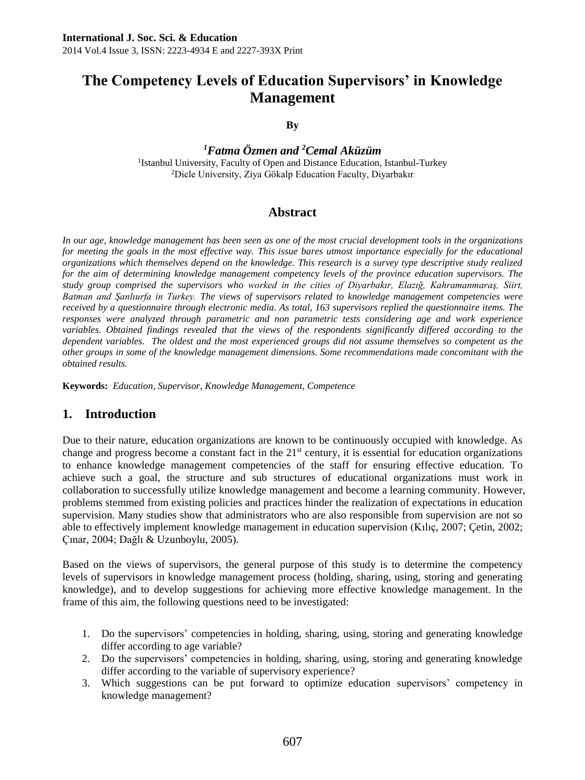# **The Competency Levels of Education Supervisors' in Knowledge Management**

#### **By**

*<sup>1</sup>Fatma Özmen and <sup>2</sup>Cemal Aküzüm* <sup>1</sup>Istanbul University, Faculty of Open and Distance Education, Istanbul-Turkey <sup>2</sup>Dicle University, Ziya Gökalp Education Faculty, Diyarbakır

## **Abstract**

*In our age, knowledge management has been seen as one of the most crucial development tools in the organizations for meeting the goals in the most effective way. This issue bares utmost importance especially for the educational organizations which themselves depend on the knowledge. This research is a survey type descriptive study realized for the aim of determining knowledge management competency levels of the province education supervisors. The study group comprised the supervisors who worked in the cities of Diyarbakır, Elazığ, Kahramanmaraş, Siirt, Batman and Şanlıurfa in Turkey. The views of supervisors related to knowledge management competencies were received by a questionnaire through electronic media. As total, 163 supervisors replied the questionnaire items. The responses were analyzed through parametric and non parametric tests considering age and work experience variables. Obtained findings revealed that the views of the respondents significantly differed according to the dependent variables. The oldest and the most experienced groups did not assume themselves so competent as the other groups in some of the knowledge management dimensions. Some recommendations made concomitant with the obtained results.* 

**Keywords:** *Education, Supervisor, Knowledge Management, Competence*

## **1. Introduction**

Due to their nature, education organizations are known to be continuously occupied with knowledge. As change and progress become a constant fact in the  $21<sup>st</sup>$  century, it is essential for education organizations to enhance knowledge management competencies of the staff for ensuring effective education. To achieve such a goal, the structure and sub structures of educational organizations must work in collaboration to successfully utilize knowledge management and become a learning community. However, problems stemmed from existing policies and practices hinder the realization of expectations in education supervision. Many studies show that administrators who are also responsible from supervision are not so able to effectively implement knowledge management in education supervision (Kılıç, 2007; Çetin, 2002; Çınar, 2004; Dağlı & Uzunboylu, 2005).

Based on the views of supervisors, the general purpose of this study is to determine the competency levels of supervisors in knowledge management process (holding, sharing, using, storing and generating knowledge), and to develop suggestions for achieving more effective knowledge management. In the frame of this aim, the following questions need to be investigated:

- 1. Do the supervisors' competencies in holding, sharing, using, storing and generating knowledge differ according to age variable?
- 2. Do the supervisors' competencies in holding, sharing, using, storing and generating knowledge differ according to the variable of supervisory experience?
- 3. Which suggestions can be put forward to optimize education supervisors' competency in knowledge management?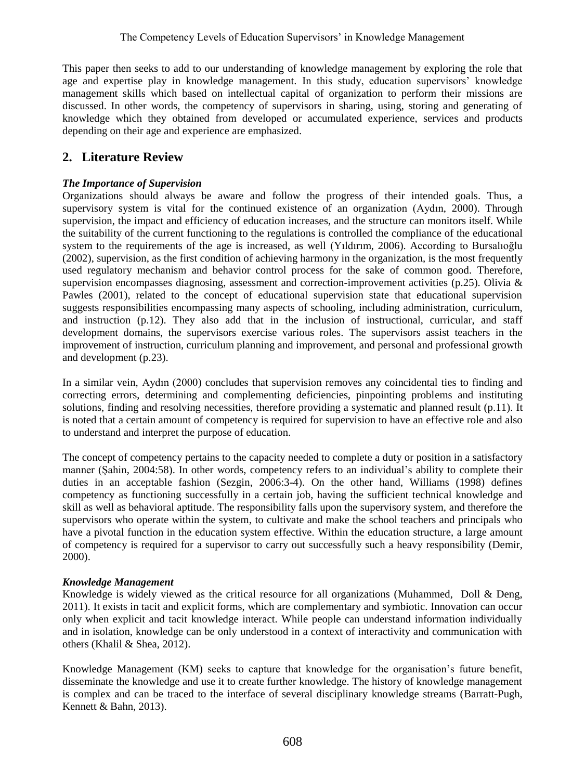This paper then seeks to add to our understanding of knowledge management by exploring the role that age and expertise play in knowledge management. In this study, education supervisors' knowledge management skills which based on intellectual capital of organization to perform their missions are discussed. In other words, the competency of supervisors in sharing, using, storing and generating of knowledge which they obtained from developed or accumulated experience, services and products depending on their age and experience are emphasized.

## **2. Literature Review**

## *The Importance of Supervision*

Organizations should always be aware and follow the progress of their intended goals. Thus, a supervisory system is vital for the continued existence of an organization (Aydın, 2000). Through supervision, the impact and efficiency of education increases, and the structure can monitors itself. While the suitability of the current functioning to the regulations is controlled the compliance of the educational system to the requirements of the age is increased, as well (Yıldırım, 2006). According to Bursalıoğlu (2002), supervision, as the first condition of achieving harmony in the organization, is the most frequently used regulatory mechanism and behavior control process for the sake of common good. Therefore, supervision encompasses diagnosing, assessment and correction-improvement activities (p.25). Olivia & Pawles (2001), related to the concept of educational supervision state that educational supervision suggests responsibilities encompassing many aspects of schooling, including administration, curriculum, and instruction (p.12). They also add that in the inclusion of instructional, curricular, and staff development domains, the supervisors exercise various roles. The supervisors assist teachers in the improvement of instruction, curriculum planning and improvement, and personal and professional growth and development (p.23).

In a similar vein, Aydın (2000) concludes that supervision removes any coincidental ties to finding and correcting errors, determining and complementing deficiencies, pinpointing problems and instituting solutions, finding and resolving necessities, therefore providing a systematic and planned result (p.11). It is noted that a certain amount of competency is required for supervision to have an effective role and also to understand and interpret the purpose of education.

The concept of competency pertains to the capacity needed to complete a duty or position in a satisfactory manner (Şahin, 2004:58). In other words, competency refers to an individual's ability to complete their duties in an acceptable fashion (Sezgin, 2006:3-4). On the other hand, Williams (1998) defines competency as functioning successfully in a certain job, having the sufficient technical knowledge and skill as well as behavioral aptitude. The responsibility falls upon the supervisory system, and therefore the supervisors who operate within the system, to cultivate and make the school teachers and principals who have a pivotal function in the education system effective. Within the education structure, a large amount of competency is required for a supervisor to carry out successfully such a heavy responsibility (Demir, 2000).

### *Knowledge Management*

Knowledge is widely viewed as the critical resource for all organizations (Muhammed, Doll & Deng, 2011). It exists in tacit and explicit forms, which are complementary and symbiotic. Innovation can occur only when explicit and tacit knowledge interact. While people can understand information individually and in isolation, knowledge can be only understood in a context of interactivity and communication with others (Khalil & Shea, 2012).

Knowledge Management (KM) seeks to capture that knowledge for the organisation's future benefit, disseminate the knowledge and use it to create further knowledge. The history of knowledge management is complex and can be traced to the interface of several disciplinary knowledge streams (Barratt-Pugh, Kennett & Bahn, 2013).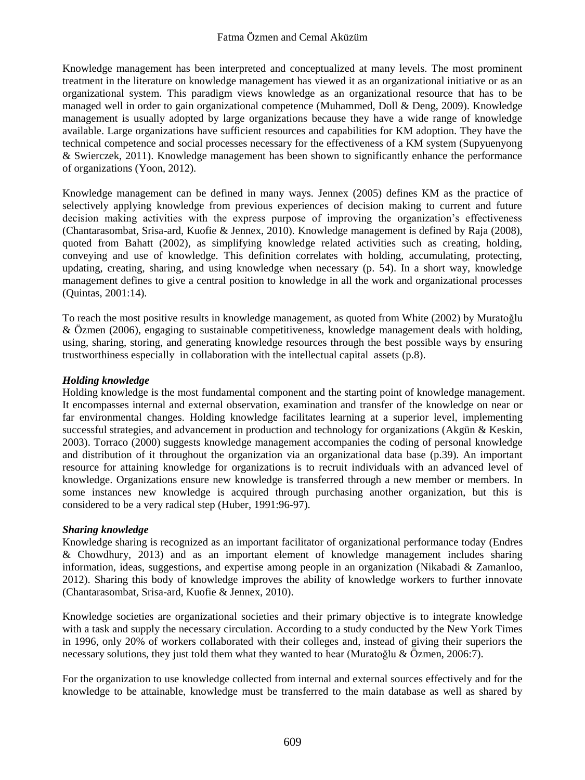#### Fatma Özmen and Cemal Aküzüm

Knowledge management has been interpreted and conceptualized at many levels. The most prominent treatment in the literature on knowledge management has viewed it as an organizational initiative or as an organizational system. This paradigm views knowledge as an organizational resource that has to be managed well in order to gain organizational competence (Muhammed, Doll & Deng, 2009). Knowledge management is usually adopted by large organizations because they have a wide range of knowledge available. Large organizations have sufficient resources and capabilities for KM adoption. They have the technical competence and social processes necessary for the effectiveness of a KM system (Supyuenyong & Swierczek, 2011). Knowledge management has been shown to significantly enhance the performance of organizations (Yoon, 2012).

Knowledge management can be defined in many ways. Jennex (2005) defines KM as the practice of selectively applying knowledge from previous experiences of decision making to current and future decision making activities with the express purpose of improving the organization's effectiveness (Chantarasombat, Srisa-ard, Kuofie & Jennex, 2010). Knowledge management is defined by Raja (2008), quoted from Bahatt (2002), as simplifying knowledge related activities such as creating, holding, conveying and use of knowledge. This definition correlates with holding, accumulating, protecting, updating, creating, sharing, and using knowledge when necessary (p. 54). In a short way, knowledge management defines to give a central position to knowledge in all the work and organizational processes (Quintas, 2001:14).

To reach the most positive results in knowledge management, as quoted from White (2002) by Muratoğlu & Özmen (2006), engaging to sustainable competitiveness, knowledge management deals with holding, using, sharing, storing, and generating knowledge resources through the best possible ways by ensuring trustworthiness especially in collaboration with the intellectual capital assets (p.8).

### *Holding knowledge*

Holding knowledge is the most fundamental component and the starting point of knowledge management. It encompasses internal and external observation, examination and transfer of the knowledge on near or far environmental changes. Holding knowledge facilitates learning at a superior level, implementing successful strategies, and advancement in production and technology for organizations (Akgün & Keskin, 2003). Torraco (2000) suggests knowledge management accompanies the coding of personal knowledge and distribution of it throughout the organization via an organizational data base (p.39). An important resource for attaining knowledge for organizations is to recruit individuals with an advanced level of knowledge. Organizations ensure new knowledge is transferred through a new member or members. In some instances new knowledge is acquired through purchasing another organization, but this is considered to be a very radical step (Huber, 1991:96-97).

### *Sharing knowledge*

Knowledge sharing is recognized as an important facilitator of organizational performance today (Endres & Chowdhury, 2013) and as an important element of knowledge management includes sharing information, ideas, suggestions, and expertise among people in an organization (Nikabadi & Zamanloo, 2012). Sharing this body of knowledge improves the ability of knowledge workers to further innovate (Chantarasombat, Srisa-ard, Kuofie & Jennex, 2010).

Knowledge societies are organizational societies and their primary objective is to integrate knowledge with a task and supply the necessary circulation. According to a study conducted by the New York Times in 1996, only 20% of workers collaborated with their colleges and, instead of giving their superiors the necessary solutions, they just told them what they wanted to hear (Muratoğlu & Özmen, 2006:7).

For the organization to use knowledge collected from internal and external sources effectively and for the knowledge to be attainable, knowledge must be transferred to the main database as well as shared by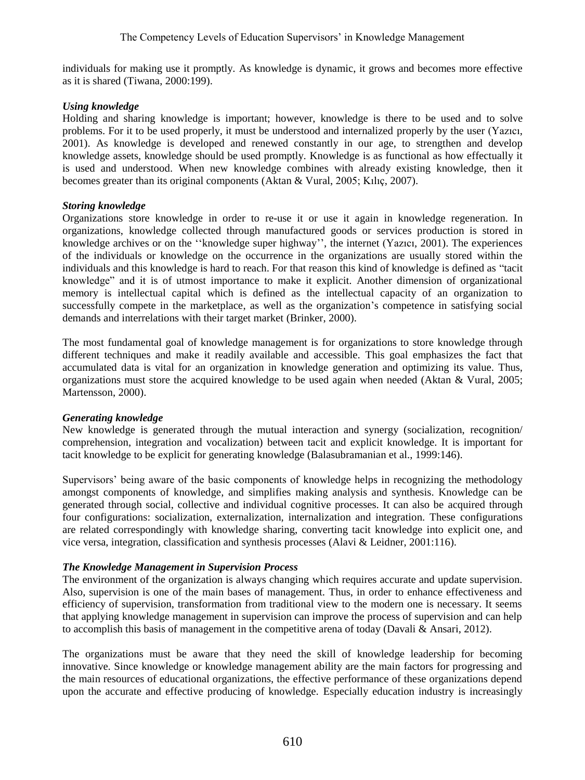individuals for making use it promptly. As knowledge is dynamic, it grows and becomes more effective as it is shared (Tiwana, 2000:199).

### *Using knowledge*

Holding and sharing knowledge is important; however, knowledge is there to be used and to solve problems. For it to be used properly, it must be understood and internalized properly by the user (Yazıcı, 2001). As knowledge is developed and renewed constantly in our age, to strengthen and develop knowledge assets, knowledge should be used promptly. Knowledge is as functional as how effectually it is used and understood. When new knowledge combines with already existing knowledge, then it becomes greater than its original components (Aktan & Vural, 2005; Kılıç, 2007).

## *Storing knowledge*

Organizations store knowledge in order to re-use it or use it again in knowledge regeneration. In organizations, knowledge collected through manufactured goods or services production is stored in knowledge archives or on the ''knowledge super highway'', the internet (Yazıcı, 2001). The experiences of the individuals or knowledge on the occurrence in the organizations are usually stored within the individuals and this knowledge is hard to reach. For that reason this kind of knowledge is defined as "tacit knowledge" and it is of utmost importance to make it explicit. Another dimension of organizational memory is intellectual capital which is defined as the intellectual capacity of an organization to successfully compete in the marketplace, as well as the organization's competence in satisfying social demands and interrelations with their target market (Brinker, 2000).

The most fundamental goal of knowledge management is for organizations to store knowledge through different techniques and make it readily available and accessible. This goal emphasizes the fact that accumulated data is vital for an organization in knowledge generation and optimizing its value. Thus, organizations must store the acquired knowledge to be used again when needed (Aktan & Vural, 2005; Martensson, 2000).

## *Generating knowledge*

New knowledge is generated through the mutual interaction and synergy (socialization, recognition/ comprehension, integration and vocalization) between tacit and explicit knowledge. It is important for tacit knowledge to be explicit for generating knowledge (Balasubramanian et al., 1999:146).

Supervisors' being aware of the basic components of knowledge helps in recognizing the methodology amongst components of knowledge, and simplifies making analysis and synthesis. Knowledge can be generated through social, collective and individual cognitive processes. It can also be acquired through four configurations: socialization, externalization, internalization and integration. These configurations are related correspondingly with knowledge sharing, converting tacit knowledge into explicit one, and vice versa, integration, classification and synthesis processes (Alavi & Leidner, 2001:116).

## *The Knowledge Management in Supervision Process*

The environment of the organization is always changing which requires accurate and update supervision. Also, supervision is one of the main bases of management. Thus, in order to enhance effectiveness and efficiency of supervision, transformation from traditional view to the modern one is necessary. It seems that applying knowledge management in supervision can improve the process of supervision and can help to accomplish this basis of management in the competitive arena of today (Davali & Ansari, 2012).

The organizations must be aware that they need the skill of knowledge leadership for becoming innovative. Since knowledge or knowledge management ability are the main factors for progressing and the main resources of educational organizations, the effective performance of these organizations depend upon the accurate and effective producing of knowledge. Especially education industry is increasingly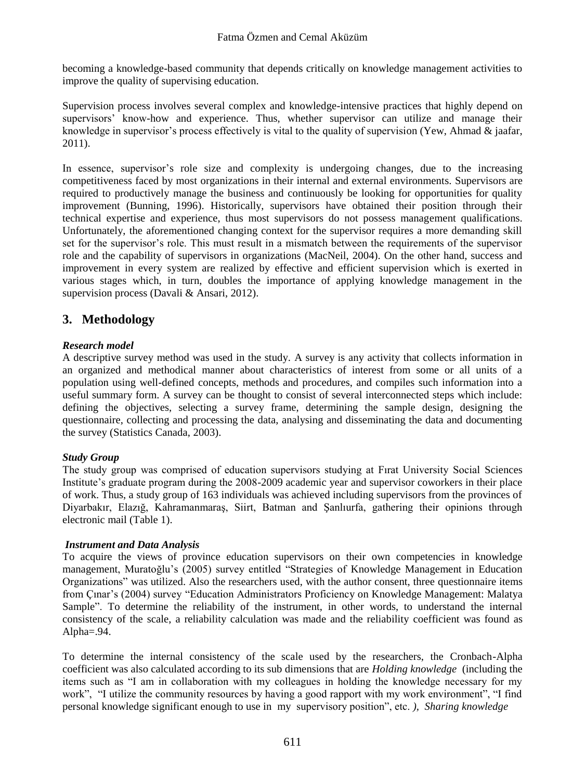becoming a knowledge-based community that depends critically on knowledge management activities to improve the quality of supervising education.

Supervision process involves several complex and knowledge-intensive practices that highly depend on supervisors' know-how and experience. Thus, whether supervisor can utilize and manage their knowledge in supervisor's process effectively is vital to the quality of supervision (Yew, Ahmad  $\&$  jaafar, 2011).

In essence, supervisor's role size and complexity is undergoing changes, due to the increasing competitiveness faced by most organizations in their internal and external environments. Supervisors are required to productively manage the business and continuously be looking for opportunities for quality improvement (Bunning, 1996). Historically, supervisors have obtained their position through their technical expertise and experience, thus most supervisors do not possess management qualifications. Unfortunately, the aforementioned changing context for the supervisor requires a more demanding skill set for the supervisor's role. This must result in a mismatch between the requirements of the supervisor role and the capability of supervisors in organizations [\(MacNeil,](http://search.proquest.com/indexinglinkhandler/sng/au/MacNeil,+Christina+Mary/$N?accountid=15780) 2004). On the other hand, success and improvement in every system are realized by effective and efficient supervision which is exerted in various stages which, in turn, doubles the importance of applying knowledge management in the supervision process (Davali & Ansari, 2012).

## **3. Methodology**

### *Research model*

A descriptive survey method was used in the study. A survey is any activity that collects information in an organized and methodical manner about characteristics of interest from some or all units of a population using well-defined concepts, methods and procedures, and compiles such information into a useful summary form. A survey can be thought to consist of several interconnected steps which include: defining the objectives, selecting a survey frame, determining the sample design, designing the questionnaire, collecting and processing the data, analysing and disseminating the data and documenting the survey (Statistics Canada, 2003).

### *Study Group*

The study group was comprised of education supervisors studying at Fırat University Social Sciences Institute's graduate program during the 2008-2009 academic year and supervisor coworkers in their place of work. Thus, a study group of 163 individuals was achieved including supervisors from the provinces of Diyarbakır, Elazığ, Kahramanmaraş, Siirt, Batman and Şanlıurfa, gathering their opinions through electronic mail (Table 1).

### *Instrument and Data Analysis*

To acquire the views of province education supervisors on their own competencies in knowledge management, Muratoğlu's (2005) survey entitled "Strategies of Knowledge Management in Education Organizations" was utilized. Also the researchers used, with the author consent, three questionnaire items from Çınar's (2004) survey "Education Administrators Proficiency on Knowledge Management: Malatya Sample". To determine the reliability of the instrument, in other words, to understand the internal consistency of the scale, a reliability calculation was made and the reliability coefficient was found as Alpha=.94.

To determine the internal consistency of the scale used by the researchers, the Cronbach-Alpha coefficient was also calculated according to its sub dimensions that are *Holding knowledge* (including the items such as "I am in collaboration with my colleagues in holding the knowledge necessary for my work", "I utilize the community resources by having a good rapport with my work environment", "I find personal knowledge significant enough to use in my supervisory position", etc. *), Sharing knowledge*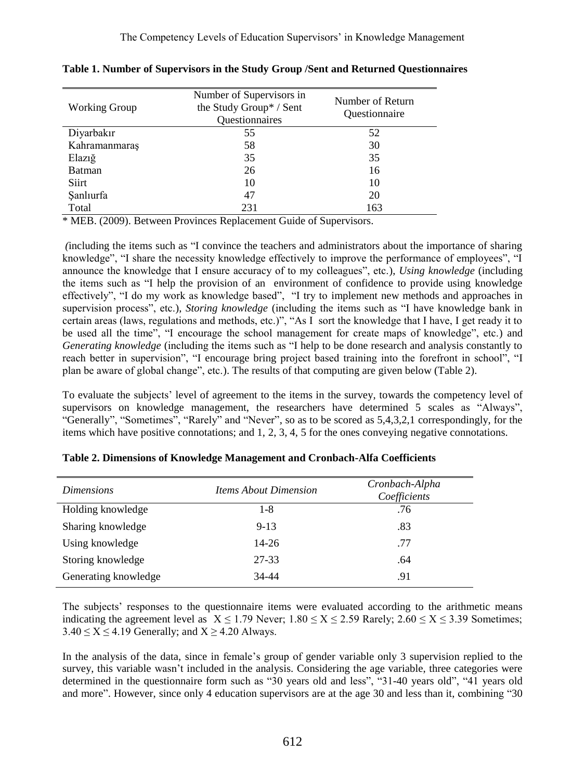| <b>Working Group</b> | Number of Supervisors in<br>the Study Group* / Sent<br>Questionnaires | Number of Return<br>Questionnaire |
|----------------------|-----------------------------------------------------------------------|-----------------------------------|
| Diyarbakır           | 55                                                                    | 52                                |
| Kahramanmaraş        | 58                                                                    | 30                                |
| Elaziğ               | 35                                                                    | 35                                |
| Batman               | 26                                                                    | 16                                |
| Siirt                | 10                                                                    | 10                                |
| Sanlıurfa            | 47                                                                    | 20                                |
| Total                | 231                                                                   | 163                               |

**Table 1. Number of Supervisors in the Study Group /Sent and Returned Questionnaires**

\* MEB. (2009). Between Provinces Replacement Guide of Supervisors.

*(*including the items such as "I convince the teachers and administrators about the importance of sharing knowledge", "I share the necessity knowledge effectively to improve the performance of employees", "I announce the knowledge that I ensure accuracy of to my colleagues", etc.), *Using knowledge* (including the items such as "I help the provision of an [environment of confidence](http://tureng.com/search/environment%20of%20confidence) to provide using knowledge effectively", "I do my work as knowledge based", "I try to implement new methods and approaches in supervision process", etc.), *Storing knowledge* (including the items such as "I have knowledge bank in certain areas (laws, regulations and methods, etc.)", "As I sort the knowledge that I have, I get ready it to be used all the time", "I encourage the school management for create maps of knowledge", etc.) and *Generating knowledge* (including the items such as "I help to be done research and analysis constantly to reach better in supervision", "I encourage bring project based training into the forefront in school", "I plan be aware of global change", etc.). The results of that computing are given below (Table 2).

To evaluate the subjects' level of agreement to the items in the survey, towards the competency level of supervisors on knowledge management, the researchers have determined 5 scales as "Always", "Generally", "Sometimes", "Rarely" and "Never", so as to be scored as 5,4,3,2,1 correspondingly, for the items which have positive connotations; and 1, 2, 3, 4, 5 for the ones conveying negative connotations.

| <i>Dimensions</i>    | <i>Items About Dimension</i> | Cronbach-Alpha<br>Coefficients |
|----------------------|------------------------------|--------------------------------|
| Holding knowledge    | $1 - 8$                      | .76                            |
| Sharing knowledge    | $9 - 13$                     | .83                            |
| Using knowledge      | $14 - 26$                    | .77                            |
| Storing knowledge    | 27-33                        | .64                            |
| Generating knowledge | 34-44                        | .91                            |

| Table 2. Dimensions of Knowledge Management and Cronbach-Alfa Coefficients |  |  |  |  |  |  |
|----------------------------------------------------------------------------|--|--|--|--|--|--|
|----------------------------------------------------------------------------|--|--|--|--|--|--|

The subjects' responses to the questionnaire items were evaluated according to the arithmetic means indicating the agreement level as  $X \le 1.79$  Never;  $1.80 \le X \le 2.59$  Rarely;  $2.60 \le X \le 3.39$  Sometimes;  $3.40 \le X \le 4.19$  Generally; and  $X \ge 4.20$  Always.

In the analysis of the data, since in female's group of gender variable only 3 supervision replied to the survey, this variable wasn't included in the analysis. Considering the age variable, three categories were determined in the questionnaire form such as "30 years old and less", "31-40 years old", "41 years old and more". However, since only 4 education supervisors are at the age 30 and less than it, combining "30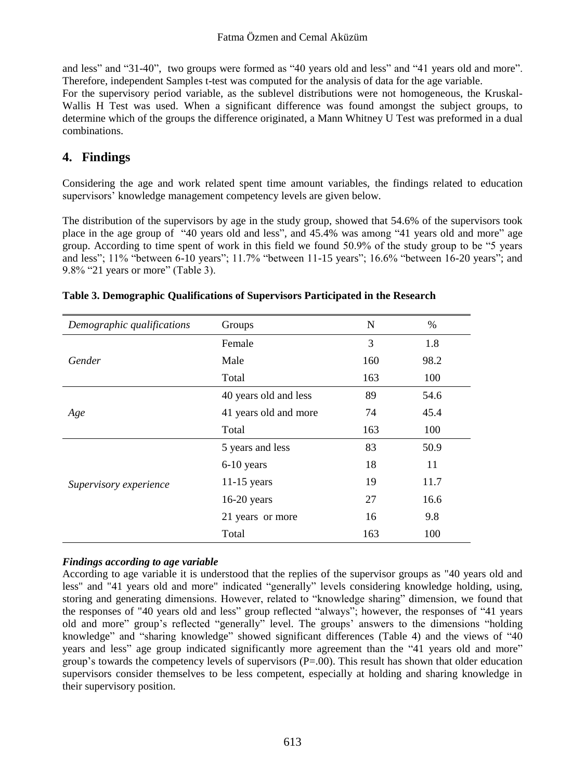and less" and "31-40", two groups were formed as "40 years old and less" and "41 years old and more". Therefore, independent Samples t-test was computed for the analysis of data for the age variable.

For the supervisory period variable, as the sublevel distributions were not homogeneous, the Kruskal-Wallis H Test was used. When a significant difference was found amongst the subject groups, to determine which of the groups the difference originated, a Mann Whitney U Test was preformed in a dual combinations.

## **4. Findings**

Considering the age and work related spent time amount variables, the findings related to education supervisors' knowledge management competency levels are given below.

The distribution of the supervisors by age in the study group, showed that 54.6% of the supervisors took place in the age group of "40 years old and less", and 45.4% was among "41 years old and more" age group. According to time spent of work in this field we found 50.9% of the study group to be "5 years and less"; 11% "between 6-10 years"; 11.7% "between 11-15 years"; 16.6% "between 16-20 years"; and 9.8% "21 years or more" (Table 3).

| Demographic qualifications | Groups                | N   | $\%$ |
|----------------------------|-----------------------|-----|------|
|                            | Female                | 3   | 1.8  |
| Gender                     | Male                  | 160 | 98.2 |
|                            | Total                 | 163 | 100  |
|                            | 40 years old and less | 89  | 54.6 |
| Age                        | 41 years old and more | 74  | 45.4 |
|                            | Total                 | 163 | 100  |
|                            | 5 years and less      | 83  | 50.9 |
|                            | $6-10$ years          | 18  | 11   |
| Supervisory experience     | $11-15$ years         | 19  | 11.7 |
|                            | $16-20$ years         | 27  | 16.6 |
|                            | 21 years or more      | 16  | 9.8  |
|                            | Total                 | 163 | 100  |

|  | Table 3. Demographic Qualifications of Supervisors Participated in the Research |  |  |
|--|---------------------------------------------------------------------------------|--|--|
|  |                                                                                 |  |  |

## *Findings according to age variable*

According to age variable it is understood that the replies of the supervisor groups as "40 years old and less" and "41 years old and more" indicated "generally" levels considering knowledge holding, using, storing and generating dimensions. However, related to "knowledge sharing" dimension, we found that the responses of "40 years old and less" group reflected "always"; however, the responses of "41 years old and more" group's reflected "generally" level. The groups' answers to the dimensions "holding knowledge" and "sharing knowledge" showed significant differences (Table 4) and the views of "40 years and less" age group indicated significantly more agreement than the "41 years old and more" group's towards the competency levels of supervisors  $(P=0.0)$ . This result has shown that older education supervisors consider themselves to be less competent, especially at holding and sharing knowledge in their supervisory position.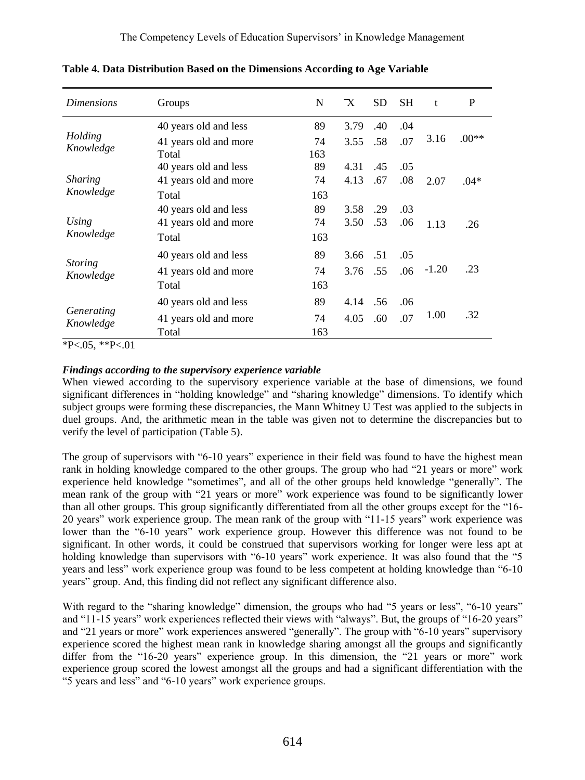| <i>Dimensions</i>              | Groups                | N   | $\mathbf{X}$ | <b>SD</b> | <b>SH</b> | t       | P       |
|--------------------------------|-----------------------|-----|--------------|-----------|-----------|---------|---------|
|                                | 40 years old and less | 89  | 3.79         | .40       | .04       |         |         |
| Holding                        | 41 years old and more | 74  | 3.55         | .58       | .07       | 3.16    | $.00**$ |
| Knowledge                      | Total                 | 163 |              |           |           |         |         |
|                                | 40 years old and less | 89  | 4.31         | .45       | .05       |         |         |
| <i>Sharing</i>                 | 41 years old and more | 74  | 4.13         | .67       | .08       | 2.07    | $.04*$  |
| Knowledge                      | Total                 | 163 |              |           |           |         |         |
|                                | 40 years old and less | 89  | 3.58         | .29       | .03       |         |         |
| Using                          | 41 years old and more | 74  | 3.50         | .53       | .06       | 1.13    | .26     |
| Knowledge                      | Total                 | 163 |              |           |           |         |         |
|                                | 40 years old and less | 89  | 3.66         | .51       | .05       |         |         |
| <b>Storing</b><br>Knowledge    | 41 years old and more | 74  | 3.76         | .55       | .06       | $-1.20$ | .23     |
|                                | Total                 | 163 |              |           |           |         |         |
| <i>Generating</i><br>Knowledge | 40 years old and less | 89  | 4.14         | .56       | .06       |         |         |
|                                | 41 years old and more | 74  | 4.05         | .60       | .07       | 1.00    | .32     |
|                                | Total                 | 163 |              |           |           |         |         |

**Table 4. Data Distribution Based on the Dimensions According to Age Variable**

 $P < 05$ ,  $*P < 01$ 

### *Findings according to the supervisory experience variable*

When viewed according to the supervisory experience variable at the base of dimensions, we found significant differences in "holding knowledge" and "sharing knowledge" dimensions. To identify which subject groups were forming these discrepancies, the Mann Whitney U Test was applied to the subjects in duel groups. And, the arithmetic mean in the table was given not to determine the discrepancies but to verify the level of participation (Table 5).

The group of supervisors with "6-10 years" experience in their field was found to have the highest mean rank in holding knowledge compared to the other groups. The group who had "21 years or more" work experience held knowledge "sometimes", and all of the other groups held knowledge "generally". The mean rank of the group with "21 years or more" work experience was found to be significantly lower than all other groups. This group significantly differentiated from all the other groups except for the "16- 20 years" work experience group. The mean rank of the group with "11-15 years" work experience was lower than the "6-10 years" work experience group. However this difference was not found to be significant. In other words, it could be construed that supervisors working for longer were less apt at holding knowledge than supervisors with "6-10 years" work experience. It was also found that the "5 years and less" work experience group was found to be less competent at holding knowledge than "6-10 years" group. And, this finding did not reflect any significant difference also.

With regard to the "sharing knowledge" dimension, the groups who had "5 years or less", "6-10 years" and "11-15 years" work experiences reflected their views with "always". But, the groups of "16-20 years" and "21 years or more" work experiences answered "generally". The group with "6-10 years" supervisory experience scored the highest mean rank in knowledge sharing amongst all the groups and significantly differ from the "16-20 years" experience group. In this dimension, the "21 years or more" work experience group scored the lowest amongst all the groups and had a significant differentiation with the "5 years and less" and "6-10 years" work experience groups.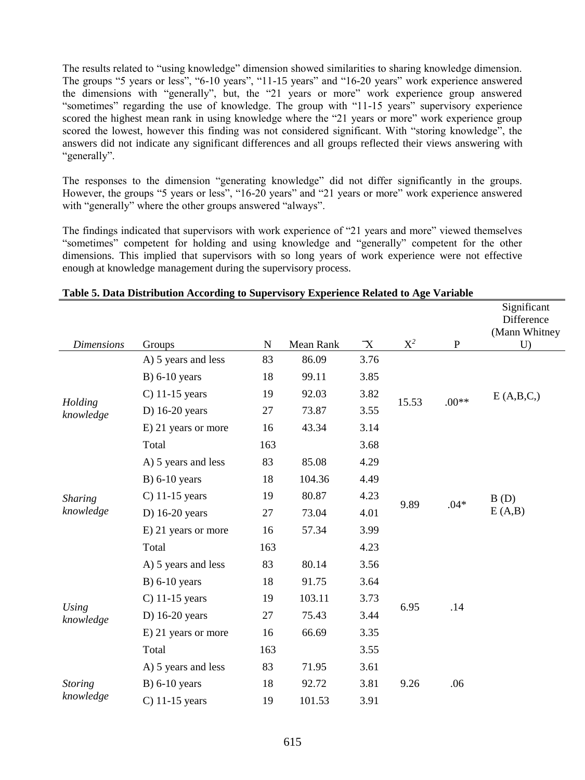The results related to "using knowledge" dimension showed similarities to sharing knowledge dimension. The groups "5 years or less", "6-10 years", "11-15 years" and "16-20 years" work experience answered the dimensions with "generally", but, the "21 years or more" work experience group answered "sometimes" regarding the use of knowledge. The group with "11-15 years" supervisory experience scored the highest mean rank in using knowledge where the "21 years or more" work experience group scored the lowest, however this finding was not considered significant. With "storing knowledge", the answers did not indicate any significant differences and all groups reflected their views answering with "generally".

The responses to the dimension "generating knowledge" did not differ significantly in the groups. However, the groups "5 years or less", "16-20 years" and "21 years or more" work experience answered with "generally" where the other groups answered "always".

The findings indicated that supervisors with work experience of "21 years and more" viewed themselves "sometimes" competent for holding and using knowledge and "generally" competent for the other dimensions. This implied that supervisors with so long years of work experience were not effective enough at knowledge management during the supervisory process.

|                           |                     |     |           |             |                |           | Significant<br>Difference<br>(Mann Whitney |
|---------------------------|---------------------|-----|-----------|-------------|----------------|-----------|--------------------------------------------|
| <b>Dimensions</b>         | Groups              | N   | Mean Rank | $\mathbf X$ | $\mathbf{X}^2$ | ${\bf P}$ | U                                          |
|                           | A) 5 years and less | 83  | 86.09     | 3.76        |                |           |                                            |
|                           | $B)$ 6-10 years     | 18  | 99.11     | 3.85        |                |           |                                            |
|                           | $C$ ) 11-15 years   | 19  | 92.03     | 3.82        | 15.53          | $.00**$   | E(A,B,C)                                   |
| Holding<br>knowledge      | D) $16-20$ years    | 27  | 73.87     | 3.55        |                |           |                                            |
|                           | E) 21 years or more | 16  | 43.34     | 3.14        |                |           |                                            |
|                           | Total               | 163 |           | 3.68        |                |           |                                            |
|                           | A) 5 years and less | 83  | 85.08     | 4.29        |                |           |                                            |
|                           | $B)$ 6-10 years     | 18  | 104.36    | 4.49        |                |           |                                            |
| <b>Sharing</b>            | $C$ ) 11-15 years   | 19  | 80.87     | 4.23        | 9.89           | $.04*$    | B(D)                                       |
| knowledge                 | D) $16-20$ years    | 27  | 73.04     | 4.01        |                |           | E(A,B)                                     |
|                           | E) 21 years or more | 16  | 57.34     | 3.99        |                |           |                                            |
|                           | Total               | 163 |           | 4.23        |                |           |                                            |
|                           | A) 5 years and less | 83  | 80.14     | 3.56        |                |           |                                            |
|                           | $B)$ 6-10 years     | 18  | 91.75     | 3.64        |                |           |                                            |
|                           | $C$ ) 11-15 years   | 19  | 103.11    | 3.73        |                |           |                                            |
| <b>Using</b><br>knowledge | D) $16-20$ years    | 27  | 75.43     | 3.44        | 6.95           | .14       |                                            |
|                           | E) 21 years or more | 16  | 66.69     | 3.35        |                |           |                                            |
|                           | Total               | 163 |           | 3.55        |                |           |                                            |
|                           | A) 5 years and less | 83  | 71.95     | 3.61        |                |           |                                            |
| <b>Storing</b>            | $B)$ 6-10 years     | 18  | 92.72     | 3.81        | 9.26           | .06       |                                            |
| knowledge                 | $C$ ) 11-15 years   | 19  | 101.53    | 3.91        |                |           |                                            |

#### **Table 5. Data Distribution According to Supervisory Experience Related to Age Variable**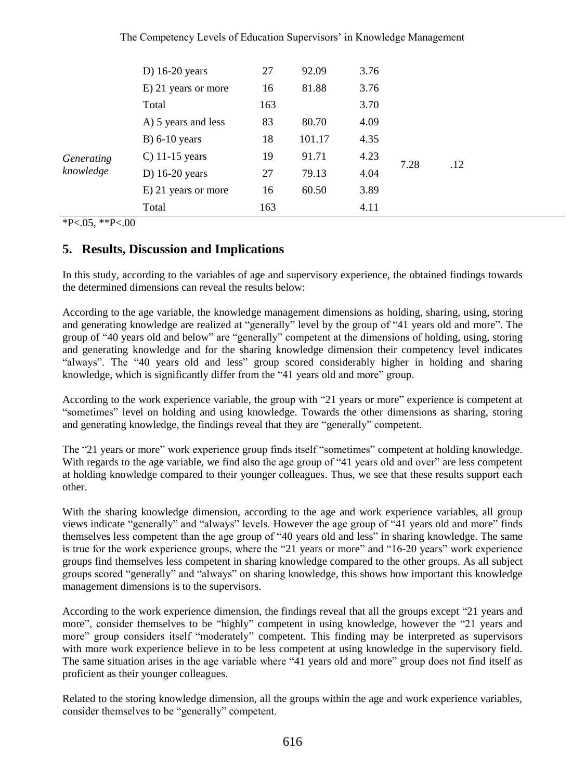|            | D) $16-20$ years    | 27  | 92.09  | 3.76 |      |     |
|------------|---------------------|-----|--------|------|------|-----|
|            | E) 21 years or more | 16  | 81.88  | 3.76 |      |     |
|            | Total               | 163 |        | 3.70 |      |     |
|            | A) 5 years and less | 83  | 80.70  | 4.09 |      |     |
| Generating | $B)$ 6-10 years     | 18  | 101.17 | 4.35 | 7.28 |     |
|            | C) $11-15$ years    | 19  | 91.71  | 4.23 |      | .12 |
| knowledge  | D) $16-20$ years    | 27  | 79.13  | 4.04 |      |     |
|            | E) 21 years or more | 16  | 60.50  | 3.89 |      |     |
|            | Total               | 163 |        | 4.11 |      |     |

 $*P<.05, **P<.00$ 

## **5. Results, Discussion and Implications**

In this study, according to the variables of age and supervisory experience, the obtained findings towards the determined dimensions can reveal the results below:

According to the age variable, the knowledge management dimensions as holding, sharing, using, storing and generating knowledge are realized at "generally" level by the group of "41 years old and more". The group of "40 years old and below" are "generally" competent at the dimensions of holding, using, storing and generating knowledge and for the sharing knowledge dimension their competency level indicates "always". The "40 years old and less" group scored considerably higher in holding and sharing knowledge, which is significantly differ from the "41 years old and more" group.

According to the work experience variable, the group with "21 years or more" experience is competent at "sometimes" level on holding and using knowledge. Towards the other dimensions as sharing, storing and generating knowledge, the findings reveal that they are "generally" competent.

The "21 years or more" work experience group finds itself "sometimes" competent at holding knowledge. With regards to the age variable, we find also the age group of "41 years old and over" are less competent at holding knowledge compared to their younger colleagues. Thus, we see that these results support each other.

With the sharing knowledge dimension, according to the age and work experience variables, all group views indicate "generally" and "always" levels. However the age group of "41 years old and more" finds themselves less competent than the age group of "40 years old and less" in sharing knowledge. The same is true for the work experience groups, where the "21 years or more" and "16-20 years" work experience groups find themselves less competent in sharing knowledge compared to the other groups. As all subject groups scored "generally" and "always" on sharing knowledge, this shows how important this knowledge management dimensions is to the supervisors.

According to the work experience dimension, the findings reveal that all the groups except "21 years and more", consider themselves to be "highly" competent in using knowledge, however the "21 years and more" group considers itself "moderately" competent. This finding may be interpreted as supervisors with more work experience believe in to be less competent at using knowledge in the supervisory field. The same situation arises in the age variable where "41 years old and more" group does not find itself as proficient as their younger colleagues.

Related to the storing knowledge dimension, all the groups within the age and work experience variables, consider themselves to be "generally" competent.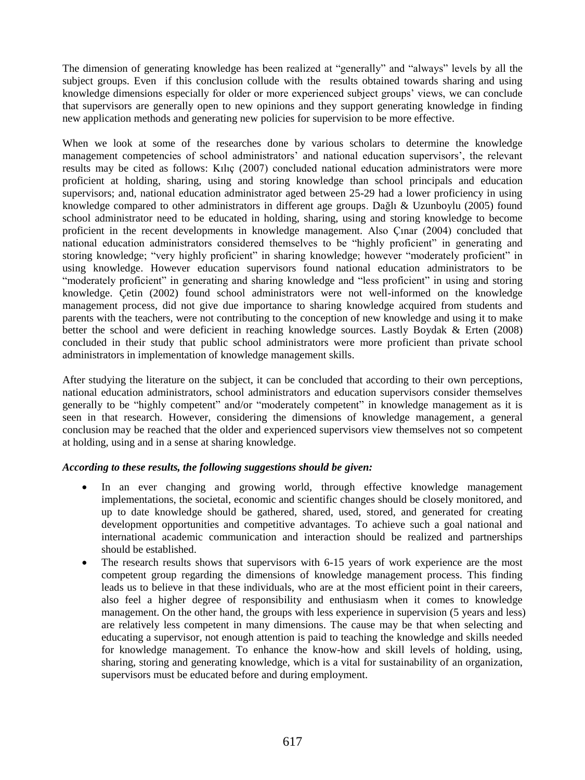The dimension of generating knowledge has been realized at "generally" and "always" levels by all the subject groups. Even if this conclusion collude with the results obtained towards sharing and using knowledge dimensions especially for older or more experienced subject groups' views, we can conclude that supervisors are generally open to new opinions and they support generating knowledge in finding new application methods and generating new policies for supervision to be more effective.

When we look at some of the researches done by various scholars to determine the knowledge management competencies of school administrators' and national education supervisors', the relevant results may be cited as follows: Kılıç (2007) concluded national education administrators were more proficient at holding, sharing, using and storing knowledge than school principals and education supervisors; and, national education administrator aged between 25-29 had a lower proficiency in using knowledge compared to other administrators in different age groups. Dağlı & Uzunboylu (2005) found school administrator need to be educated in holding, sharing, using and storing knowledge to become proficient in the recent developments in knowledge management. Also Çınar (2004) concluded that national education administrators considered themselves to be "highly proficient" in generating and storing knowledge; "very highly proficient" in sharing knowledge; however "moderately proficient" in using knowledge. However education supervisors found national education administrators to be "moderately proficient" in generating and sharing knowledge and "less proficient" in using and storing knowledge. Çetin (2002) found school administrators were not well-informed on the knowledge management process, did not give due importance to sharing knowledge acquired from students and parents with the teachers, were not contributing to the conception of new knowledge and using it to make better the school and were deficient in reaching knowledge sources. Lastly Boydak & Erten (2008) concluded in their study that public school administrators were more proficient than private school administrators in implementation of knowledge management skills.

After studying the literature on the subject, it can be concluded that according to their own perceptions, national education administrators, school administrators and education supervisors consider themselves generally to be "highly competent" and/or "moderately competent" in knowledge management as it is seen in that research. However, considering the dimensions of knowledge management, a general conclusion may be reached that the older and experienced supervisors view themselves not so competent at holding, using and in a sense at sharing knowledge.

### *According to these results, the following suggestions should be given:*

- In an ever changing and growing world, through effective knowledge management implementations, the societal, economic and scientific changes should be closely monitored, and up to date knowledge should be gathered, shared, used, stored, and generated for creating development opportunities and competitive advantages. To achieve such a goal national and international academic communication and interaction should be realized and partnerships should be established.
- The research results shows that supervisors with 6-15 years of work experience are the most competent group regarding the dimensions of knowledge management process. This finding leads us to believe in that these individuals, who are at the most efficient point in their careers, also feel a higher degree of responsibility and enthusiasm when it comes to knowledge management. On the other hand, the groups with less experience in supervision (5 years and less) are relatively less competent in many dimensions. The cause may be that when selecting and educating a supervisor, not enough attention is paid to teaching the knowledge and skills needed for knowledge management. To enhance the know-how and skill levels of holding, using, sharing, storing and generating knowledge, which is a vital for sustainability of an organization, supervisors must be educated before and during employment.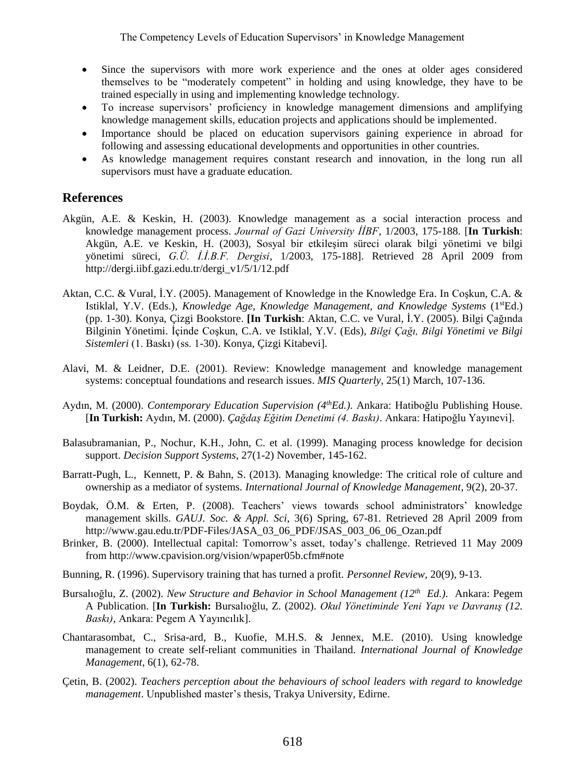- Since the supervisors with more work experience and the ones at older ages considered themselves to be "moderately competent" in holding and using knowledge, they have to be trained especially in using and implementing knowledge technology.
- To increase supervisors' proficiency in knowledge management dimensions and amplifying knowledge management skills, education projects and applications should be implemented.
- Importance should be placed on education supervisors gaining experience in abroad for following and assessing educational developments and opportunities in other countries.
- As knowledge management requires constant research and innovation, in the long run all supervisors must have a graduate education.

## **References**

- Akgün, A.E. & Keskin, H. (2003). Knowledge management as a social interaction process and knowledge management process. *Journal of Gazi University İİBF*, 1/2003, 175-188. [**In Turkish**: Akgün, A.E. ve Keskin, H. (2003), Sosyal bir etkileşim süreci olarak bilgi yönetimi ve bilgi yönetimi süreci, *G.Ü. İ.İ.B.F. Dergisi*, 1/2003, 175-188]. Retrieved 28 April 2009 from [http://dergi.iibf.gazi.edu.tr/dergi\\_v1/5/1/12.pdf](http://dergi.iibf.gazi.edu.tr/dergi_v1/5/1/12.pdf)
- Aktan, C.C. & Vural, İ.Y. (2005). Management of Knowledge in the Knowledge Era. In Coşkun, C.A. & Istiklal, Y.V. (Eds.), *Knowledge Age, Knowledge Management, and Knowledge Systems* (1<sup>st</sup>Ed.) (pp. 1-30). Konya, Çizgi Bookstore. **[In Turkish**: Aktan, C.C. ve Vural, İ.Y. (2005). Bilgi Çağında Bilginin Yönetimi. İçinde Coşkun, C.A. ve Istiklal, Y.V. (Eds), *Bilgi Çağı, Bilgi Yönetimi ve Bilgi Sistemleri* (1. Baskı) (ss. 1-30). Konya, Çizgi Kitabevi].
- Alavi, M. & Leidner, D.E. (2001). Review: Knowledge management and knowledge management systems: conceptual foundations and research issues. *MIS Quarterly*, 25(1) March, 107-136.
- Aydın, M. (2000). *Contemporary Education Supervision (4thEd.)*. Ankara: Hatiboğlu Publishing House. [**In Turkish:** Aydın, M. (2000). *Çağdaş Eğitim Denetimi (4. Baskı)*. Ankara: Hatipoğlu Yayınevi].
- Balasubramanian, P., Nochur, K.H., John, C. et al. (1999). Managing process knowledge for decision support. *Decision Support Systems*, 27(1-2) November, 145-162.
- Barratt-Pugh, L., Kennett, P. & Bahn, S. (2013). Managing knowledge: The critical role of culture and ownership as a mediator of systems. *International Journal of Knowledge Management*, 9(2), 20-37.
- Boydak, Ö.M. & Erten, P. (2008). Teachers' views towards school administrators' knowledge management skills. *GAUJ. Soc. & Appl. Sci*, 3(6) Spring, 67-81. Retrieved 28 April 2009 from [http://www.gau.edu.tr/PDF-Files/JASA\\_03\\_06\\_PDF/JSAS\\_003\\_06\\_06\\_Ozan.pdf](http://www.gau.edu.tr/PDF-Files/JASA_03_06_PDF/JSAS_003_06_06_Ozan.pdf)
- Brinker, B. (2000). Intellectual capital: Tomorrow's asset, today's challenge. Retrieved 11 May 2009 from <http://www.cpavision.org/vision/wpaper05b.cfm#note>
- Bunning, R. (1996). Supervisory training that has turned a profit. *Personnel Review,* 20(9), 9-13.
- Bursalıoğlu, Z. (2002). *New Structure and Behavior in School Management (12th Ed.)*. Ankara: Pegem A Publication. [**In Turkish:** Bursalıoğlu, Z. (2002). *Okul Yönetiminde Yeni Yapı ve Davranış (12. Baskı)*, Ankara: Pegem A Yayıncılık].
- Chantarasombat, C., Srisa-ard, B., Kuofie, M.H.S. & Jennex, M.E. (2010). Using knowledge management to create self-reliant communities in Thailand. *International Journal of Knowledge Management*, 6(1), 62-78.
- Çetin, B. (2002). *Teachers perception about the behaviours of school leaders with regard to knowledge management*. Unpublished master's thesis, Trakya University, Edirne.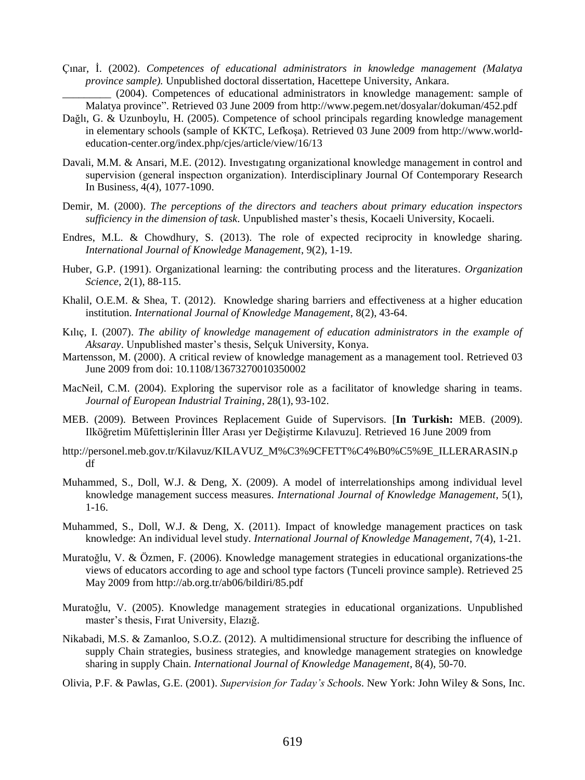Çınar, İ. (2002). *Competences of educational administrators in knowledge management (Malatya province sample).* Unpublished doctoral dissertation, Hacettepe University, Ankara.

\_\_\_\_\_\_\_\_\_ (2004). Competences of educational administrators in knowledge management: sample of Malatya province". Retrieved 03 June 2009 from <http://www.pegem.net/dosyalar/dokuman/452.pdf>

- Dağlı, G. & Uzunboylu, H. (2005). Competence of school principals regarding knowledge management in elementary schools (sample of KKTC, Lefkoşa). Retrieved 03 June 2009 from [http://www.world](http://www.world-education-center.org/index.php/cjes/article/view/16/13)[education-center.org/index.php/cjes/article/view/16/13](http://www.world-education-center.org/index.php/cjes/article/view/16/13)
- Davali, M.M. & Ansari, M.E. (2012). Investıgatıng organizational knowledge management in control and supervision (general inspectıon organization). [Interdisciplinary Journal Of Contemporary Research](http://search.proquest.com/pubidlinkhandler/sng/pubtitle/Interdisciplinary+Journal+of+Contemporary+Research+In+Business/$N/136132/DocView/1101245370/fulltext/140F4D5EF7B3D74D949/1?accountid=15780)  [In Business,](http://search.proquest.com/pubidlinkhandler/sng/pubtitle/Interdisciplinary+Journal+of+Contemporary+Research+In+Business/$N/136132/DocView/1101245370/fulltext/140F4D5EF7B3D74D949/1?accountid=15780) [4\(4\), 1077-1090.](http://search.proquest.com/indexingvolumeissuelinkhandler/136132/Interdisciplinary+Journal+of+Contemporary+Research+In+Business/02012Y08Y01$23Aug+2012$3b++Vol.+4+$284$29/4/4?accountid=15780)
- Demir, M. (2000). *The perceptions of the directors and teachers about primary education inspectors sufficiency in the dimension of task.* Unpublished master's thesis, Kocaeli University, Kocaeli.
- Endres, M.L. & Chowdhury, S. (2013). The role of expected reciprocity in knowledge sharing. *International Journal of Knowledge Management*, 9(2), 1-19.
- Huber, G.P. (1991). Organizational learning: the contributing process and the literatures. *Organization Science*, 2(1), 88-115.
- Khalil, O.E.M. & Shea, T. (2012). Knowledge sharing barriers and effectiveness at a higher education institution. *International Journal of Knowledge Management*, 8(2), 43-64.
- Kılıç, I. (2007). *The ability of knowledge management of education administrators in the example of Aksaray*. Unpublished master's thesis, Selçuk University, Konya.
- Martensson, M. (2000). A critical review of knowledge management as a management tool. Retrieved 03 June 2009 from doi: [10.1108/13673270010350002](http://dx.doi.org/10.1108/13673270010350002)
- [MacNeil, C.M.](http://search.proquest.com/indexinglinkhandler/sng/au/MacNeil,+Christina+Mary/$N?accountid=15780) (2004). Exploring the supervisor role as a facilitator of knowledge sharing in teams*. [Journal of European Industrial Training](http://search.proquest.com/pubidlinkhandler/sng/pubtitle/Journal+of+European+Industrial+Training/$N/37218/DocView/215388863/fulltext/140F4F2983E348F3CF0/1?accountid=15780)*, [28\(1\),](http://search.proquest.com/indexingvolumeissuelinkhandler/37218/Journal+of+European+Industrial+Training/02004Y01Y01$232004$3b++Vol.+28+$281$29/28/1?accountid=15780) [9](http://search.proquest.com/indexingvolumeissuelinkhandler/37218/Journal+of+European+Industrial+Training/02004Y01Y01$232004$3b++Vol.+28+$281$29/28/1?accountid=15780)3-102.
- MEB. (2009). Between Provinces Replacement Guide of Supervisors. [**In Turkish:** MEB. (2009). Ilköğretim Müfettişlerinin İller Arası yer Değiştirme Kılavuzu]. Retrieved 16 June 2009 from
- [http://personel.meb.gov.tr/Kilavuz/KILAVUZ\\_M%C3%9CFETT%C4%B0%C5%9E\\_ILLERARASIN.p](http://personel.meb.gov.tr/Kilavuz/KILAVUZ_M%C3%9CFETT%C4%B0%C5%9E_ILLERARASIN.pdf) [df](http://personel.meb.gov.tr/Kilavuz/KILAVUZ_M%C3%9CFETT%C4%B0%C5%9E_ILLERARASIN.pdf)
- Muhammed, S., Doll, W.J. & Deng, X. (2009). A model of interrelationships among individual level knowledge management success measures. *International Journal of Knowledge Management*, 5(1), 1-16.
- Muhammed, S., Doll, W.J. & Deng, X. (2011). Impact of knowledge management practices on task knowledge: An individual level study. *International Journal of Knowledge Management*, 7(4), 1-21.
- Muratoğlu, V. & Özmen, F. (2006). Knowledge management strategies in educational organizations-the views of educators according to age and school type factors (Tunceli province sample). Retrieved 25 May 2009 from<http://ab.org.tr/ab06/bildiri/85.pdf>
- Muratoğlu, V. (2005). Knowledge management strategies in educational organizations. Unpublished master's thesis, Fırat University, Elazığ.
- Nikabadi, M.S. & Zamanloo, S.O.Z. (2012). A multidimensional structure for describing the influence of supply Chain strategies, business strategies, and knowledge management strategies on knowledge sharing in supply Chain. *International Journal of Knowledge Management*, 8(4), 50-70.
- Olivia, P.F. & Pawlas, G.E. (2001). *Supervision for Taday's Schools*. New York: John Wiley & Sons, Inc.